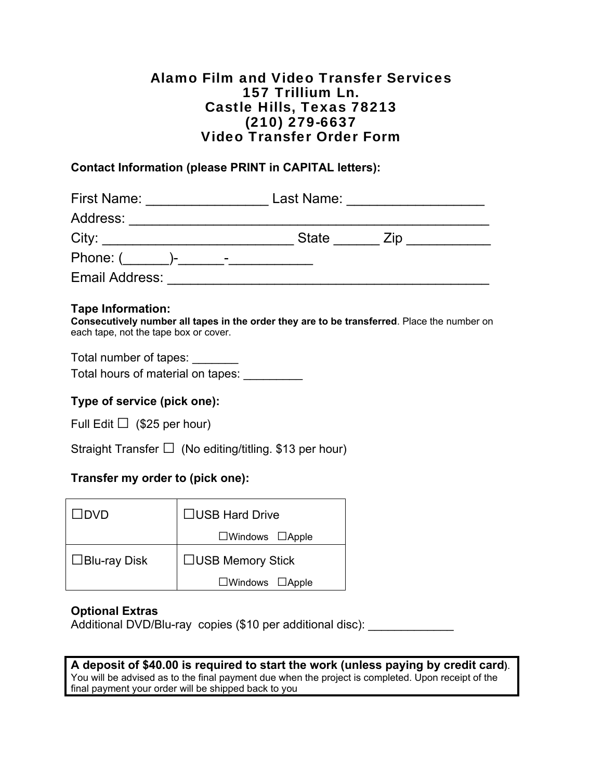## Alamo Film and Video Transfer Services 157 Trillium Ln. Castle Hills, Texas 78213 (210) 279-6637 Video Transfer Order Form

#### **Contact Information (please PRINT in CAPITAL letters):**

| <b>First Name:</b>    | Last Name:               |     |
|-----------------------|--------------------------|-----|
| Address:              |                          |     |
| City:                 | <b>State</b>             | Ziɒ |
| Phone: (<br>ъ.        | $\overline{\phantom{0}}$ |     |
| <b>Email Address:</b> |                          |     |

#### **Tape Information:**

**Consecutively number all tapes in the order they are to be transferred**. Place the number on each tape, not the tape box or cover.

Total number of tapes: \_\_\_\_\_\_\_ Total hours of material on tapes: \_\_\_\_\_\_\_\_\_

### **Type of service (pick one):**

Full Edit  $\Box$  (\$25 per hour)

Straight Transfer  $\Box$  (No editing/titling. \$13 per hour)

#### **Transfer my order to (pick one):**

| ∟DVD                | □USB Hard Drive             |  |
|---------------------|-----------------------------|--|
|                     | $\Box$ Windows $\Box$ Apple |  |
| $\Box$ Blu-ray Disk | $\Box$ USB Memory Stick     |  |
|                     | $\Box$ Windows $\Box$ Apple |  |

#### **Optional Extras**

Additional DVD/Blu-ray copies (\$10 per additional disc):

**A deposit of \$40.00 is required to start the work (unless paying by credit card)**. You will be advised as to the final payment due when the project is completed. Upon receipt of the final payment your order will be shipped back to you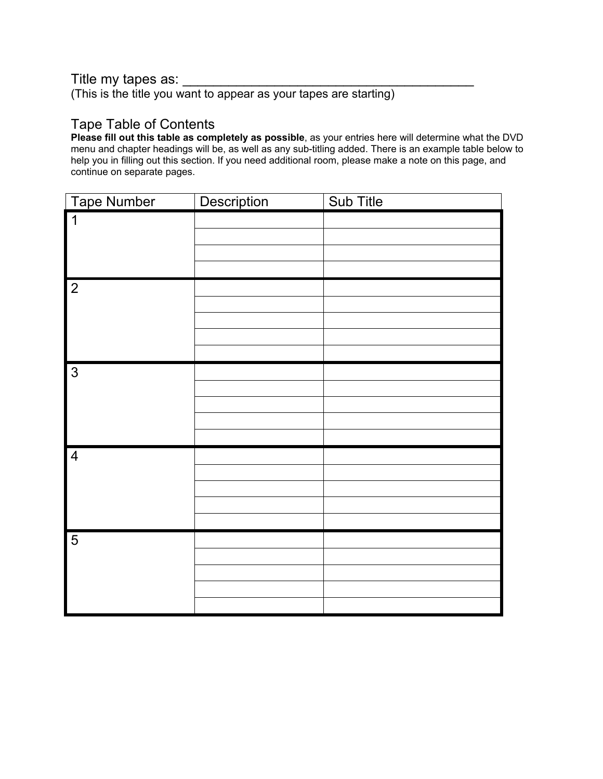## Title my tapes as:

(This is the title you want to appear as your tapes are starting)

## Tape Table of Contents

**Please fill out this table as completely as possible**, as your entries here will determine what the DVD menu and chapter headings will be, as well as any sub-titling added. There is an example table below to help you in filling out this section. If you need additional room, please make a note on this page, and continue on separate pages.

| <b>Tape Number</b>  | Description | Sub Title |
|---------------------|-------------|-----------|
| $\mathbf 1$         |             |           |
|                     |             |           |
|                     |             |           |
|                     |             |           |
| $\overline{2}$      |             |           |
|                     |             |           |
|                     |             |           |
|                     |             |           |
|                     |             |           |
| $\overline{\omega}$ |             |           |
|                     |             |           |
|                     |             |           |
|                     |             |           |
|                     |             |           |
| $\overline{4}$      |             |           |
|                     |             |           |
|                     |             |           |
|                     |             |           |
| $\overline{5}$      |             |           |
|                     |             |           |
|                     |             |           |
|                     |             |           |
|                     |             |           |